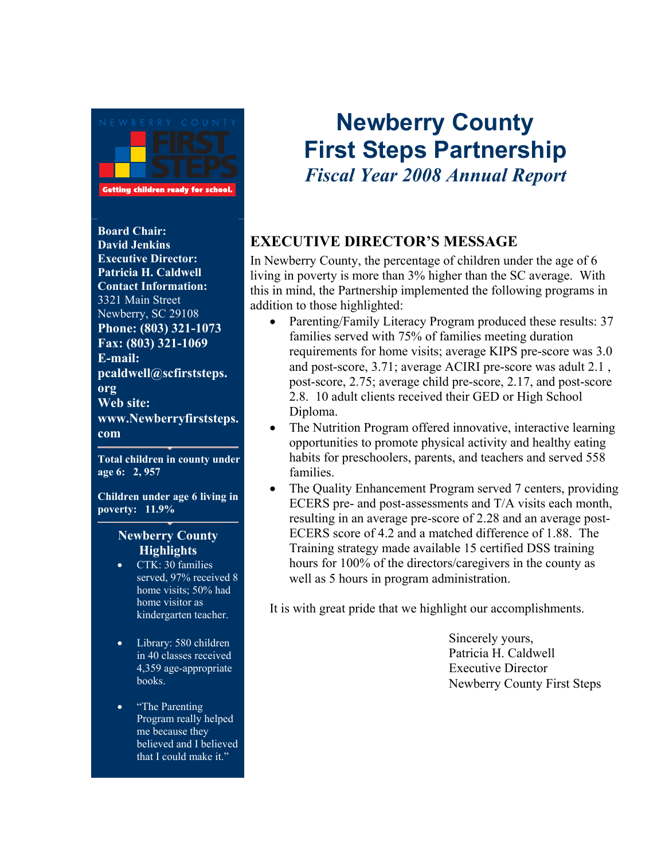

**Board Chair: David Jenkins Executive Director: Patricia H. Caldwell Contact Information:**  3321 Main Street Newberry, SC 29108 **Phone: (803) 321-1073 Fax: (803) 321-1069 E-mail: pcaldwell@scfirststeps. org Web site: www.Newberryfirststeps. com**

**Total children in county under age 6: 2, 957**

**Children under age 6 living in poverty: 11.9%** 

#### **Newberry County Highlights**

- CTK: 30 families served, 97% received 8 home visits; 50% had home visitor as kindergarten teacher.
- Library: 580 children in 40 classes received 4,359 age-appropriate books.
- "The Parenting Program really helped me because they believed and I believed that I could make it."

# **Newberry County First Steps Partnership**  *Fiscal Year 2008 Annual Report*

#### **EXECUTIVE DIRECTOR'S MESSAGE**

In Newberry County, the percentage of children under the age of 6 living in poverty is more than 3% higher than the SC average. With this in mind, the Partnership implemented the following programs in addition to those highlighted:

- Parenting/Family Literacy Program produced these results: 37 families served with 75% of families meeting duration requirements for home visits; average KIPS pre-score was 3.0 and post-score, 3.71; average ACIRI pre-score was adult 2.1 , post-score, 2.75; average child pre-score, 2.17, and post-score 2.8. 10 adult clients received their GED or High School Diploma.
- The Nutrition Program offered innovative, interactive learning opportunities to promote physical activity and healthy eating habits for preschoolers, parents, and teachers and served 558 families.
- The Quality Enhancement Program served 7 centers, providing ECERS pre- and post-assessments and T/A visits each month, resulting in an average pre-score of 2.28 and an average post-ECERS score of 4.2 and a matched difference of 1.88. The Training strategy made available 15 certified DSS training hours for 100% of the directors/caregivers in the county as well as 5 hours in program administration.

It is with great pride that we highlight our accomplishments.

 Sincerely yours, Patricia H. Caldwell Executive Director Newberry County First Steps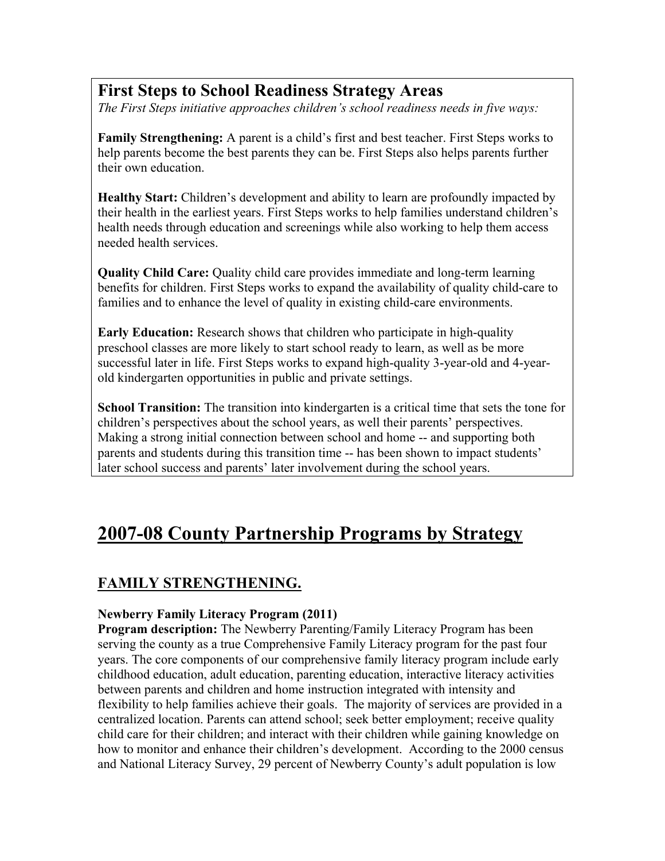#### **First Steps to School Readiness Strategy Areas**

*The First Steps initiative approaches children's school readiness needs in five ways:* 

**Family Strengthening:** A parent is a child's first and best teacher. First Steps works to help parents become the best parents they can be. First Steps also helps parents further their own education.

**Healthy Start:** Children's development and ability to learn are profoundly impacted by their health in the earliest years. First Steps works to help families understand children's health needs through education and screenings while also working to help them access needed health services.

**Quality Child Care:** Quality child care provides immediate and long-term learning benefits for children. First Steps works to expand the availability of quality child-care to families and to enhance the level of quality in existing child-care environments.

**Early Education:** Research shows that children who participate in high-quality preschool classes are more likely to start school ready to learn, as well as be more successful later in life. First Steps works to expand high-quality 3-year-old and 4-yearold kindergarten opportunities in public and private settings.

**School Transition:** The transition into kindergarten is a critical time that sets the tone for children's perspectives about the school years, as well their parents' perspectives. Making a strong initial connection between school and home -- and supporting both parents and students during this transition time -- has been shown to impact students' later school success and parents' later involvement during the school years.

## **2007-08 County Partnership Programs by Strategy**

#### **FAMILY STRENGTHENING.**

#### **Newberry Family Literacy Program (2011)**

**Program description:** The Newberry Parenting/Family Literacy Program has been serving the county as a true Comprehensive Family Literacy program for the past four years. The core components of our comprehensive family literacy program include early childhood education, adult education, parenting education, interactive literacy activities between parents and children and home instruction integrated with intensity and flexibility to help families achieve their goals. The majority of services are provided in a centralized location. Parents can attend school; seek better employment; receive quality child care for their children; and interact with their children while gaining knowledge on how to monitor and enhance their children's development. According to the 2000 census and National Literacy Survey, 29 percent of Newberry County's adult population is low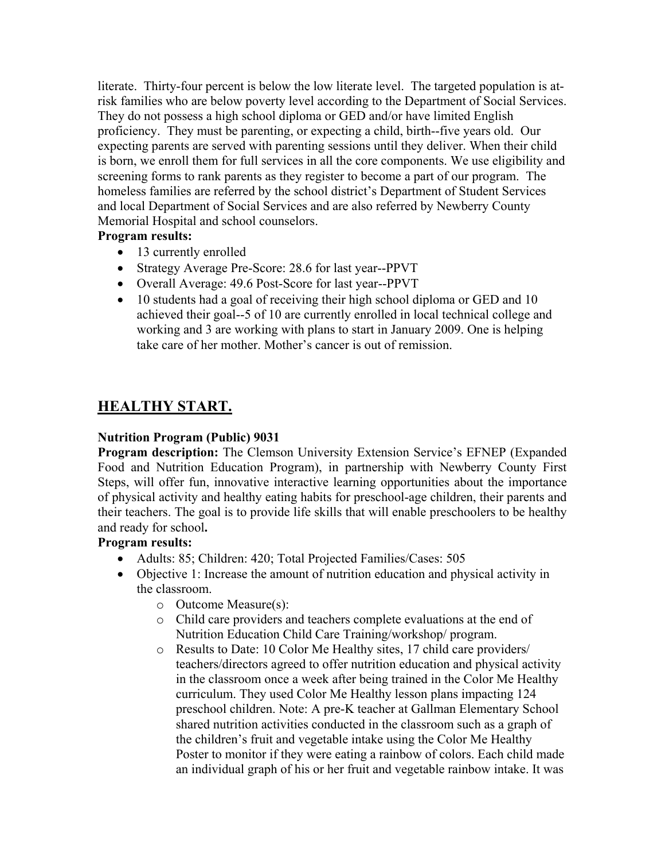literate. Thirty-four percent is below the low literate level. The targeted population is atrisk families who are below poverty level according to the Department of Social Services. They do not possess a high school diploma or GED and/or have limited English proficiency. They must be parenting, or expecting a child, birth--five years old. Our expecting parents are served with parenting sessions until they deliver. When their child is born, we enroll them for full services in all the core components. We use eligibility and screening forms to rank parents as they register to become a part of our program. The homeless families are referred by the school district's Department of Student Services and local Department of Social Services and are also referred by Newberry County Memorial Hospital and school counselors.

#### **Program results:**

- 13 currently enrolled
- Strategy Average Pre-Score: 28.6 for last year--PPVT
- Overall Average: 49.6 Post-Score for last year--PPVT
- 10 students had a goal of receiving their high school diploma or GED and 10 achieved their goal--5 of 10 are currently enrolled in local technical college and working and 3 are working with plans to start in January 2009. One is helping take care of her mother. Mother's cancer is out of remission.

#### **HEALTHY START.**

#### **Nutrition Program (Public) 9031**

**Program description:** The Clemson University Extension Service's EFNEP (Expanded Food and Nutrition Education Program), in partnership with Newberry County First Steps, will offer fun, innovative interactive learning opportunities about the importance of physical activity and healthy eating habits for preschool-age children, their parents and their teachers. The goal is to provide life skills that will enable preschoolers to be healthy and ready for school**.** 

#### **Program results:**

- Adults: 85; Children: 420; Total Projected Families/Cases: 505
- Objective 1: Increase the amount of nutrition education and physical activity in the classroom.
	- o Outcome Measure(s):
	- o Child care providers and teachers complete evaluations at the end of Nutrition Education Child Care Training/workshop/ program.
	- o Results to Date: 10 Color Me Healthy sites, 17 child care providers/ teachers/directors agreed to offer nutrition education and physical activity in the classroom once a week after being trained in the Color Me Healthy curriculum. They used Color Me Healthy lesson plans impacting 124 preschool children. Note: A pre-K teacher at Gallman Elementary School shared nutrition activities conducted in the classroom such as a graph of the children's fruit and vegetable intake using the Color Me Healthy Poster to monitor if they were eating a rainbow of colors. Each child made an individual graph of his or her fruit and vegetable rainbow intake. It was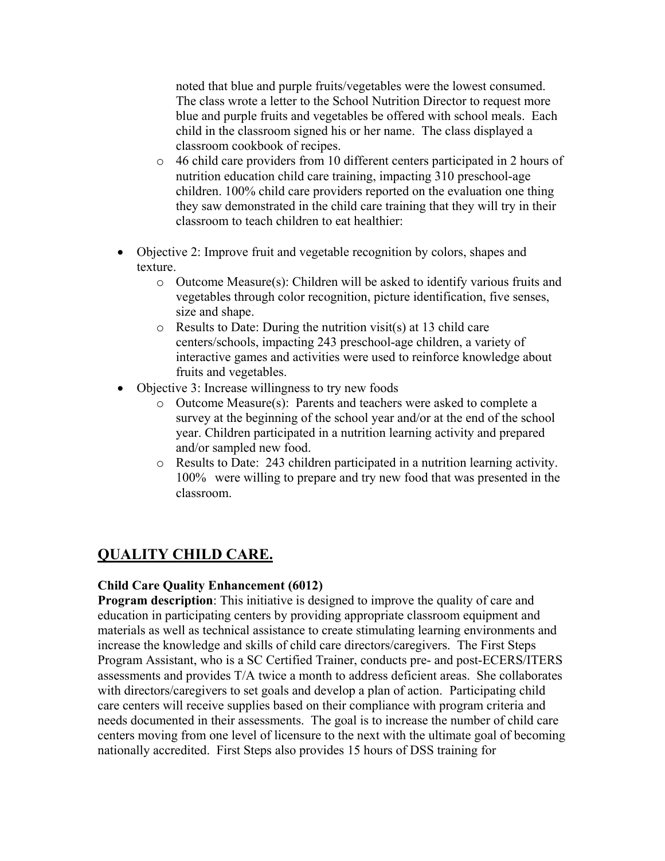noted that blue and purple fruits/vegetables were the lowest consumed. The class wrote a letter to the School Nutrition Director to request more blue and purple fruits and vegetables be offered with school meals. Each child in the classroom signed his or her name. The class displayed a classroom cookbook of recipes.

- o 46 child care providers from 10 different centers participated in 2 hours of nutrition education child care training, impacting 310 preschool-age children. 100% child care providers reported on the evaluation one thing they saw demonstrated in the child care training that they will try in their classroom to teach children to eat healthier:
- Objective 2: Improve fruit and vegetable recognition by colors, shapes and texture.
	- o Outcome Measure(s): Children will be asked to identify various fruits and vegetables through color recognition, picture identification, five senses, size and shape.
	- o Results to Date: During the nutrition visit(s) at 13 child care centers/schools, impacting 243 preschool-age children, a variety of interactive games and activities were used to reinforce knowledge about fruits and vegetables.
- Objective 3: Increase willingness to try new foods
	- o Outcome Measure(s): Parents and teachers were asked to complete a survey at the beginning of the school year and/or at the end of the school year. Children participated in a nutrition learning activity and prepared and/or sampled new food.
	- o Results to Date: 243 children participated in a nutrition learning activity. 100% were willing to prepare and try new food that was presented in the classroom.

#### **QUALITY CHILD CARE.**

#### **Child Care Quality Enhancement (6012)**

**Program description**: This initiative is designed to improve the quality of care and education in participating centers by providing appropriate classroom equipment and materials as well as technical assistance to create stimulating learning environments and increase the knowledge and skills of child care directors/caregivers. The First Steps Program Assistant, who is a SC Certified Trainer, conducts pre- and post-ECERS/ITERS assessments and provides T/A twice a month to address deficient areas. She collaborates with directors/caregivers to set goals and develop a plan of action. Participating child care centers will receive supplies based on their compliance with program criteria and needs documented in their assessments. The goal is to increase the number of child care centers moving from one level of licensure to the next with the ultimate goal of becoming nationally accredited. First Steps also provides 15 hours of DSS training for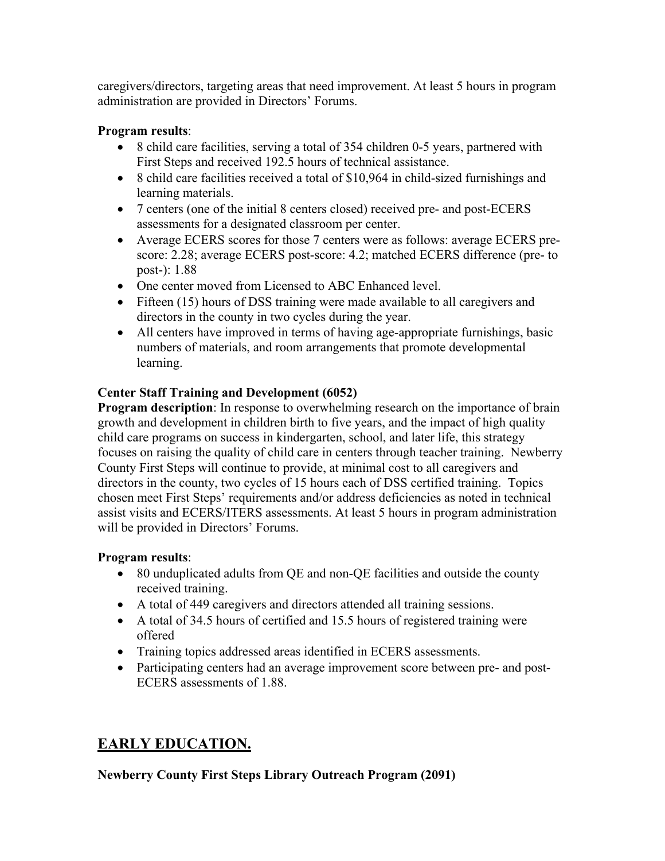caregivers/directors, targeting areas that need improvement. At least 5 hours in program administration are provided in Directors' Forums.

#### **Program results**:

- 8 child care facilities, serving a total of 354 children 0-5 years, partnered with First Steps and received 192.5 hours of technical assistance.
- 8 child care facilities received a total of \$10,964 in child-sized furnishings and learning materials.
- 7 centers (one of the initial 8 centers closed) received pre- and post-ECERS assessments for a designated classroom per center.
- Average ECERS scores for those 7 centers were as follows: average ECERS prescore: 2.28; average ECERS post-score: 4.2; matched ECERS difference (pre- to post-): 1.88
- One center moved from Licensed to ABC Enhanced level.
- Fifteen (15) hours of DSS training were made available to all caregivers and directors in the county in two cycles during the year.
- All centers have improved in terms of having age-appropriate furnishings, basic numbers of materials, and room arrangements that promote developmental learning.

#### **Center Staff Training and Development (6052)**

**Program description**: In response to overwhelming research on the importance of brain growth and development in children birth to five years, and the impact of high quality child care programs on success in kindergarten, school, and later life, this strategy focuses on raising the quality of child care in centers through teacher training. Newberry County First Steps will continue to provide, at minimal cost to all caregivers and directors in the county, two cycles of 15 hours each of DSS certified training. Topics chosen meet First Steps' requirements and/or address deficiencies as noted in technical assist visits and ECERS/ITERS assessments. At least 5 hours in program administration will be provided in Directors' Forums.

#### **Program results**:

- 80 unduplicated adults from QE and non-QE facilities and outside the county received training.
- A total of 449 caregivers and directors attended all training sessions.
- A total of 34.5 hours of certified and 15.5 hours of registered training were offered
- Training topics addressed areas identified in ECERS assessments.
- Participating centers had an average improvement score between pre- and post-ECERS assessments of 1.88.

#### **EARLY EDUCATION.**

#### **Newberry County First Steps Library Outreach Program (2091)**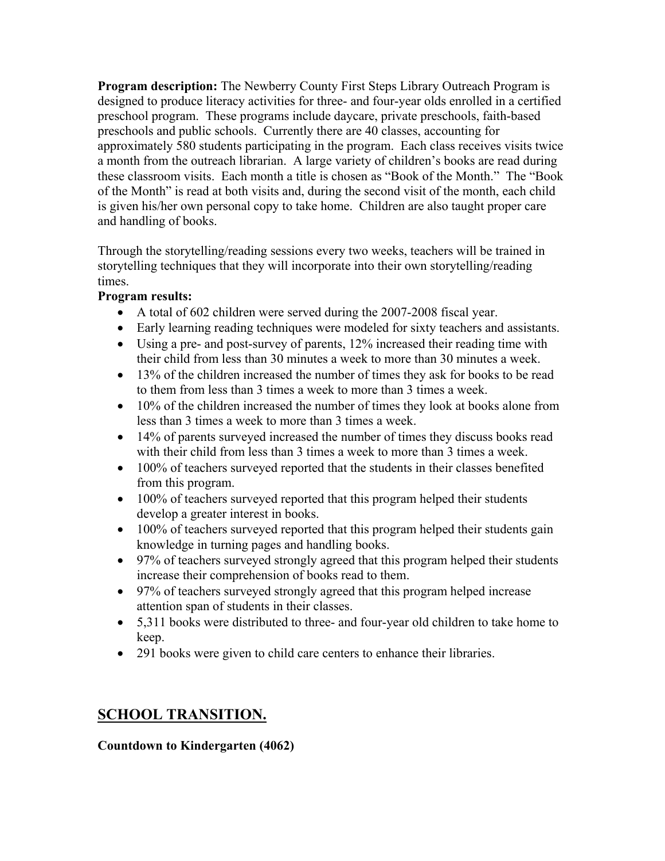**Program description:** The Newberry County First Steps Library Outreach Program is designed to produce literacy activities for three- and four-year olds enrolled in a certified preschool program. These programs include daycare, private preschools, faith-based preschools and public schools. Currently there are 40 classes, accounting for approximately 580 students participating in the program. Each class receives visits twice a month from the outreach librarian. A large variety of children's books are read during these classroom visits. Each month a title is chosen as "Book of the Month." The "Book of the Month" is read at both visits and, during the second visit of the month, each child is given his/her own personal copy to take home. Children are also taught proper care and handling of books.

Through the storytelling/reading sessions every two weeks, teachers will be trained in storytelling techniques that they will incorporate into their own storytelling/reading times.

#### **Program results:**

- A total of 602 children were served during the 2007-2008 fiscal year.
- Early learning reading techniques were modeled for sixty teachers and assistants.
- Using a pre- and post-survey of parents, 12% increased their reading time with their child from less than 30 minutes a week to more than 30 minutes a week.
- 13% of the children increased the number of times they ask for books to be read to them from less than 3 times a week to more than 3 times a week.
- 10% of the children increased the number of times they look at books alone from less than 3 times a week to more than 3 times a week.
- 14% of parents surveyed increased the number of times they discuss books read with their child from less than 3 times a week to more than 3 times a week.
- 100% of teachers surveyed reported that the students in their classes benefited from this program.
- 100% of teachers surveyed reported that this program helped their students develop a greater interest in books.
- 100% of teachers surveyed reported that this program helped their students gain knowledge in turning pages and handling books.
- 97% of teachers surveyed strongly agreed that this program helped their students increase their comprehension of books read to them.
- 97% of teachers surveyed strongly agreed that this program helped increase attention span of students in their classes.
- 5,311 books were distributed to three- and four-year old children to take home to keep.
- 291 books were given to child care centers to enhance their libraries.

#### **SCHOOL TRANSITION.**

#### **Countdown to Kindergarten (4062)**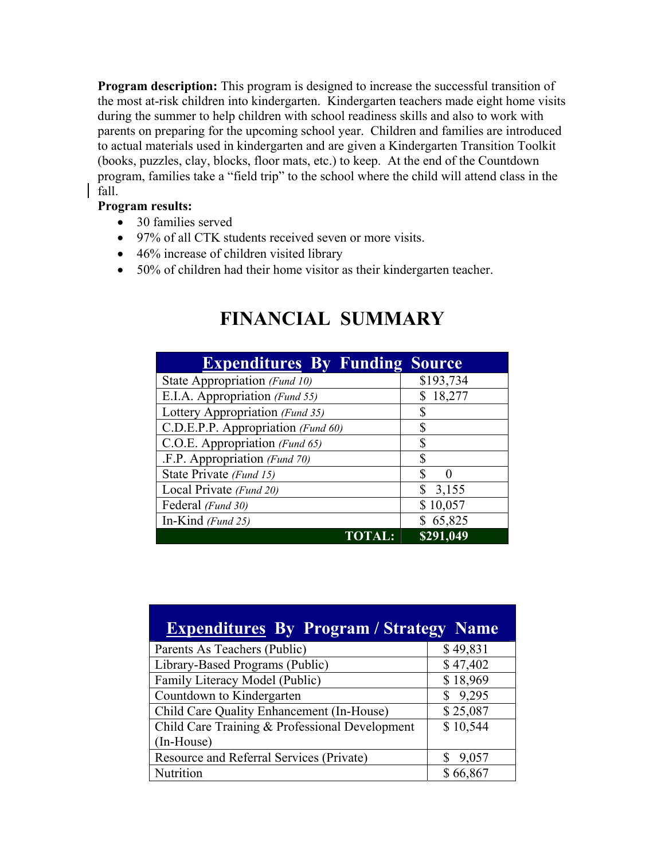**Program description:** This program is designed to increase the successful transition of the most at-risk children into kindergarten. Kindergarten teachers made eight home visits during the summer to help children with school readiness skills and also to work with parents on preparing for the upcoming school year. Children and families are introduced to actual materials used in kindergarten and are given a Kindergarten Transition Toolkit (books, puzzles, clay, blocks, floor mats, etc.) to keep. At the end of the Countdown program, families take a "field trip" to the school where the child will attend class in the fall.

#### **Program results:**

- 30 families served
- 97% of all CTK students received seven or more visits.
- 46% increase of children visited library
- 50% of children had their home visitor as their kindergarten teacher.

| <b>Expenditures By Funding Source</b> |             |
|---------------------------------------|-------------|
| State Appropriation (Fund 10)         | \$193,734   |
| E.I.A. Appropriation (Fund 55)        | 18,277      |
| Lottery Appropriation (Fund 35)       | \$          |
| C.D.E.P.P. Appropriation (Fund 60)    | \$          |
| C.O.E. Appropriation (Fund 65)        | \$          |
| .F.P. Appropriation (Fund 70)         | \$          |
| State Private (Fund 15)               | S           |
| Local Private (Fund 20)               | \$<br>3,155 |
| Federal (Fund 30)                     | \$10,057    |
| In-Kind (Fund 25)                     | 65,825      |
|                                       | \$291,049   |

### **FINANCIAL SUMMARY**

| <b>Expenditures By Program / Strategy Name</b> |          |
|------------------------------------------------|----------|
| Parents As Teachers (Public)                   | \$49,831 |
| Library-Based Programs (Public)                | \$47,402 |
| Family Literacy Model (Public)                 | \$18,969 |
| Countdown to Kindergarten                      | \$9,295  |
| Child Care Quality Enhancement (In-House)      | \$25,087 |
| Child Care Training & Professional Development | \$10,544 |
| (In-House)                                     |          |
| Resource and Referral Services (Private)       | 9,057    |
| Nutrition                                      | \$66,867 |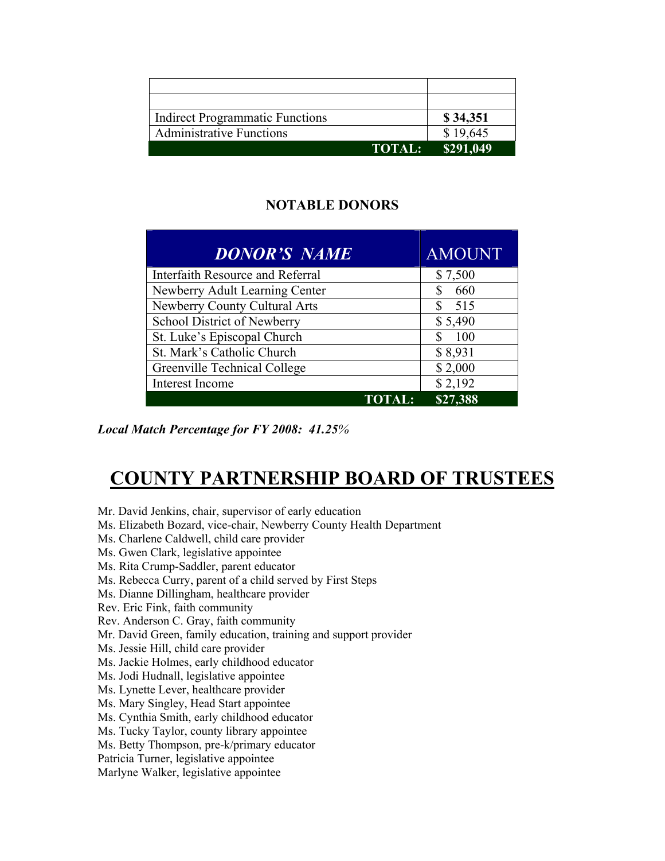| <b>Indirect Programmatic Functions</b> | \$34,351                |
|----------------------------------------|-------------------------|
| <b>Administrative Functions</b>        | \$19,645                |
|                                        | <b>TOTAL:</b> \$291,049 |

#### **NOTABLE DONORS**

| <b>DONOR'S NAME</b>              | <b>AMOUNT</b> |
|----------------------------------|---------------|
| Interfaith Resource and Referral | \$7,500       |
| Newberry Adult Learning Center   | 660           |
| Newberry County Cultural Arts    | 515           |
| School District of Newberry      | \$5,490       |
| St. Luke's Episcopal Church      | <b>100</b>    |
| St. Mark's Catholic Church       | \$8,931       |
| Greenville Technical College     | \$2,000       |
| Interest Income                  | \$2,192       |
| <b>TOTAL:</b>                    | \$27,388      |

*Local Match Percentage for FY 2008: 41.25%* 

## **COUNTY PARTNERSHIP BOARD OF TRUSTEES**

Mr. David Jenkins, chair, supervisor of early education

- Ms. Elizabeth Bozard, vice-chair, Newberry County Health Department
- Ms. Charlene Caldwell, child care provider
- Ms. Gwen Clark, legislative appointee
- Ms. Rita Crump-Saddler, parent educator
- Ms. Rebecca Curry, parent of a child served by First Steps
- Ms. Dianne Dillingham, healthcare provider
- Rev. Eric Fink, faith community
- Rev. Anderson C. Gray, faith community
- Mr. David Green, family education, training and support provider
- Ms. Jessie Hill, child care provider
- Ms. Jackie Holmes, early childhood educator
- Ms. Jodi Hudnall, legislative appointee
- Ms. Lynette Lever, healthcare provider
- Ms. Mary Singley, Head Start appointee
- Ms. Cynthia Smith, early childhood educator
- Ms. Tucky Taylor, county library appointee
- Ms. Betty Thompson, pre-k/primary educator
- Patricia Turner, legislative appointee

Marlyne Walker, legislative appointee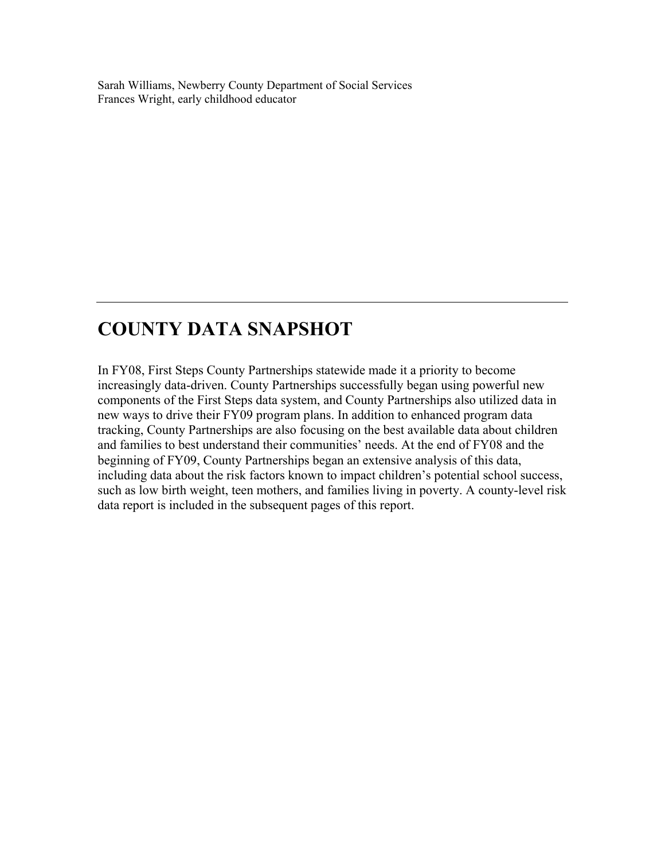Sarah Williams, Newberry County Department of Social Services Frances Wright, early childhood educator

## **COUNTY DATA SNAPSHOT**

In FY08, First Steps County Partnerships statewide made it a priority to become increasingly data-driven. County Partnerships successfully began using powerful new components of the First Steps data system, and County Partnerships also utilized data in new ways to drive their FY09 program plans. In addition to enhanced program data tracking, County Partnerships are also focusing on the best available data about children and families to best understand their communities' needs. At the end of FY08 and the beginning of FY09, County Partnerships began an extensive analysis of this data, including data about the risk factors known to impact children's potential school success, such as low birth weight, teen mothers, and families living in poverty. A county-level risk data report is included in the subsequent pages of this report.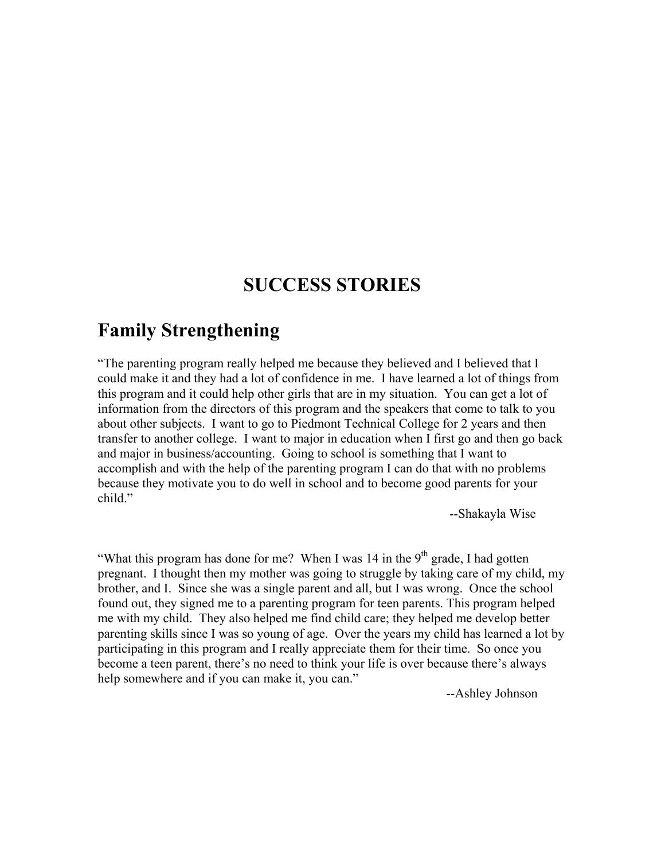### **SUCCESS STORIES**

### **Family Strengthening**

"The parenting program really helped me because they believed and I believed that I could make it and they had a lot of confidence in me. I have learned a lot of things from this program and it could help other girls that are in my situation. You can get a lot of information from the directors of this program and the speakers that come to talk to you about other subjects. I want to go to Piedmont Technical College for 2 years and then transfer to another college. I want to major in education when I first go and then go back and major in business/accounting. Going to school is something that I want to accomplish and with the help of the parenting program I can do that with no problems because they motivate you to do well in school and to become good parents for your child."

--Shakayla Wise

"What this program has done for me? When I was 14 in the  $9<sup>th</sup>$  grade, I had gotten pregnant. I thought then my mother was going to struggle by taking care of my child, my brother, and I. Since she was a single parent and all, but I was wrong. Once the school found out, they signed me to a parenting program for teen parents. This program helped me with my child. They also helped me find child care; they helped me develop better parenting skills since I was so young of age. Over the years my child has learned a lot by participating in this program and I really appreciate them for their time. So once you become a teen parent, there's no need to think your life is over because there's always help somewhere and if you can make it, you can."

--Ashley Johnson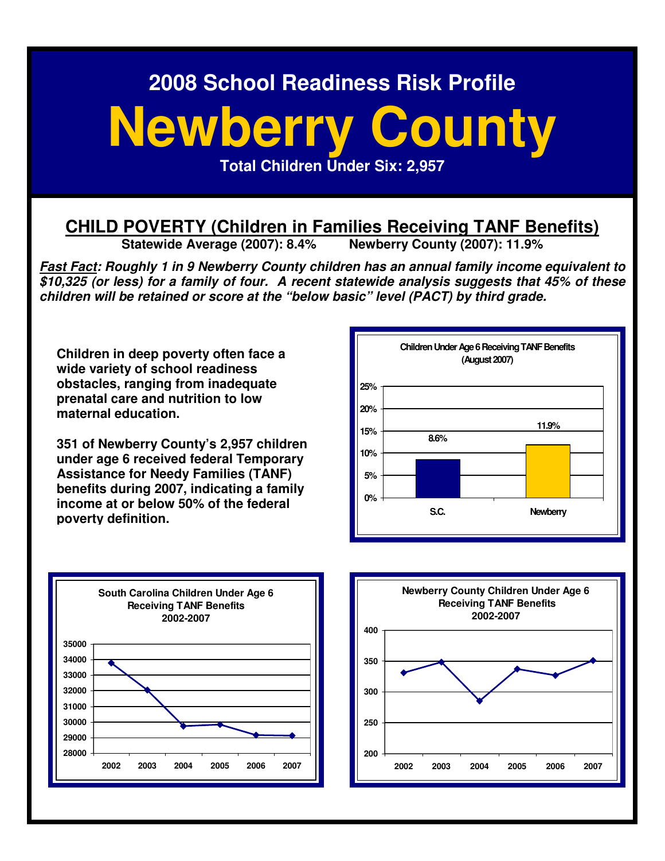# **Newberry County Total Children Under Six: 2,957**

# **CHILD POVERTY (Children in Families Receiving TANF Benefits)**<br>Statewide Average (2007): 8.4% Newberry County (2007): 11.9%

**Statewide Average (2007): 8.4%** 

**Fast Fact: Roughly 1 in 9 Newberry County children has an annual family income equivalent to \$10,325 (or less) for a family of four. A recent statewide analysis suggests that 45% of these children will be retained or score at the "below basic" level (PACT) by third grade.** 

**Children in deep poverty often face a wide variety of school readiness obstacles, ranging from inadequate prenatal care and nutrition to low maternal education.** 

**351 of Newberry County's 2,957 children under age 6 received federal Temporary Assistance for Needy Families (TANF) benefits during 2007, indicating a family income at or below 50% of the federal poverty definition.**





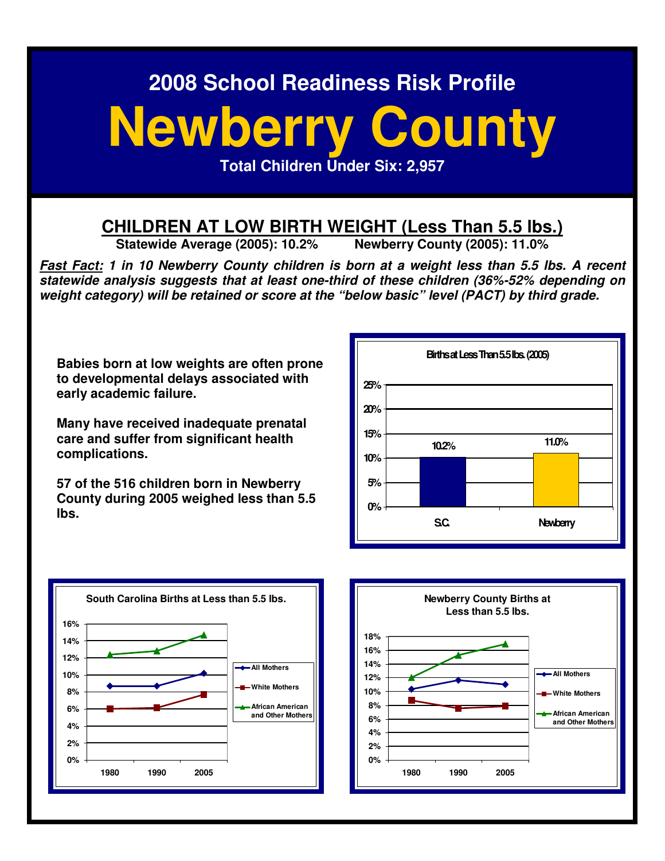# **Newberry County**

**Total Children Under Six: 2,957** 

# **CHILDREN AT LOW BIRTH WEIGHT (Less Than 5.5 lbs.)**<br>Statewide Average (2005): 10.2% Newberry County (2005): 11.0%

**Statewide Average (2005): 10.2%** 

**Fast Fact: 1 in 10 Newberry County children is born at a weight less than 5.5 lbs. A recent statewide analysis suggests that at least one-third of these children (36%-52% depending on weight category) will be retained or score at the "below basic" level (PACT) by third grade.** 

**Babies born at low weights are often prone to developmental delays associated with early academic failure.** 

**Many have received inadequate prenatal care and suffer from significant health complications.** 

**57 of the 516 children born in Newberry County during 2005 weighed less than 5.5 lbs.** 





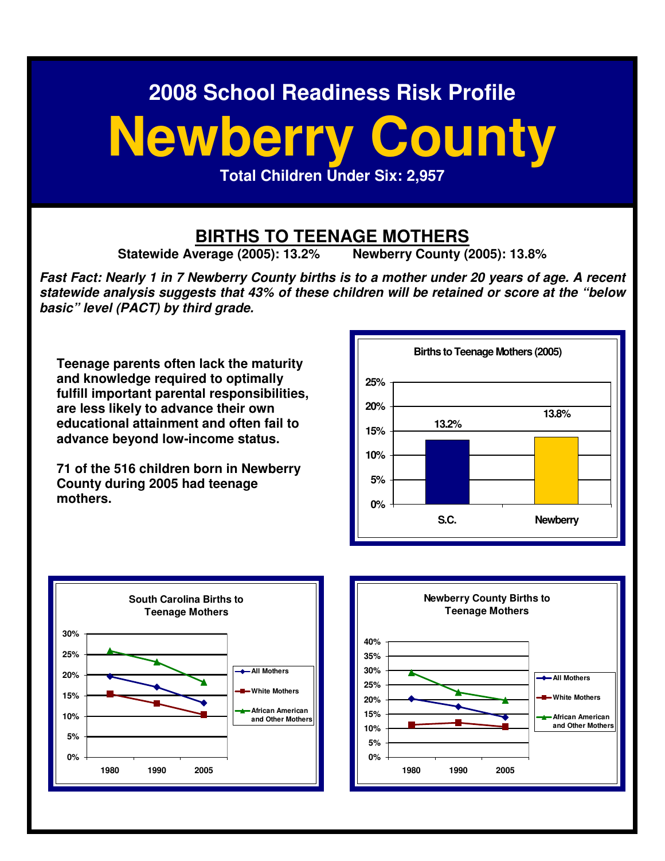# **Newberry County**

**Total Children Under Six: 2,957** 

# **BIRTHS TO TEENAGE MOTHERS**<br>Verage (2005): 13.2% Newberry County (2005): 13.8%

**Statewide Average (2005): 13.2%** 

**Fast Fact: Nearly 1 in 7 Newberry County births is to a mother under 20 years of age. A recent statewide analysis suggests that 43% of these children will be retained or score at the "below basic" level (PACT) by third grade.** 

**Teenage parents often lack the maturity and knowledge required to optimally fulfill important parental responsibilities, are less likely to advance their own educational attainment and often fail to advance beyond low-income status.** 

**71 of the 516 children born in Newberry County during 2005 had teenage mothers.**